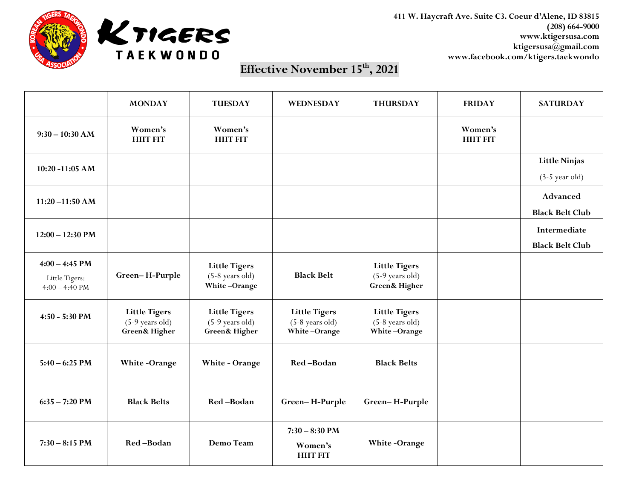

**411 W. Haycraft Ave. Suite C3. Coeur d'Alene, ID 83815 (208) 664-9000 www.ktigersusa.com ktigersusa@gmail.com www.facebook.com/ktigers.taekwondo**

## **Effective November 15th, 2021**

|                                                        | <b>MONDAY</b>                                                         | <b>TUESDAY</b>                                                        | <b>WEDNESDAY</b>                                          | <b>THURSDAY</b>                                                     | <b>FRIDAY</b>              | <b>SATURDAY</b>                                  |
|--------------------------------------------------------|-----------------------------------------------------------------------|-----------------------------------------------------------------------|-----------------------------------------------------------|---------------------------------------------------------------------|----------------------------|--------------------------------------------------|
| $9:30 - 10:30$ AM                                      | Women's<br><b>HIIT FIT</b>                                            | Women's<br><b>HIIT FIT</b>                                            |                                                           |                                                                     | Women's<br><b>HIIT FIT</b> |                                                  |
| 10:20 -11:05 AM                                        |                                                                       |                                                                       |                                                           |                                                                     |                            | <b>Little Ninjas</b><br>$(3-5 \text{ year old})$ |
| $11:20 - 11:50 AM$                                     |                                                                       |                                                                       |                                                           |                                                                     |                            | Advanced<br><b>Black Belt Club</b>               |
| $12:00 - 12:30$ PM                                     |                                                                       |                                                                       |                                                           |                                                                     |                            | Intermediate<br><b>Black Belt Club</b>           |
| $4:00 - 4:45$ PM<br>Little Tigers:<br>$4:00 - 4:40$ PM | Green-H-Purple                                                        | <b>Little Tigers</b><br>$(5-8$ years old)<br>White-Orange             | <b>Black Belt</b>                                         | <b>Little Tigers</b><br>(5-9 years old)<br><b>Green&amp; Higher</b> |                            |                                                  |
| 4:50 - 5:30 PM                                         | <b>Little Tigers</b><br>$(5-9$ years old)<br><b>Green&amp; Higher</b> | <b>Little Tigers</b><br>$(5-9$ years old)<br><b>Green&amp; Higher</b> | <b>Little Tigers</b><br>$(5-8$ years old)<br>White-Orange | <b>Little Tigers</b><br>$(5-8$ years old)<br>White-Orange           |                            |                                                  |
| $5:40 - 6:25$ PM                                       | <b>White-Orange</b>                                                   | White - Orange                                                        | Red-Bodan                                                 | <b>Black Belts</b>                                                  |                            |                                                  |
| $6:35 - 7:20$ PM                                       | <b>Black Belts</b>                                                    | Red-Bodan                                                             | Green-H-Purple                                            | Green-H-Purple                                                      |                            |                                                  |
| $7:30 - 8:15$ PM                                       | Red-Bodan                                                             | Demo Team                                                             | $7:30 - 8:30$ PM<br>Women's<br><b>HIIT FIT</b>            | White-Orange                                                        |                            |                                                  |